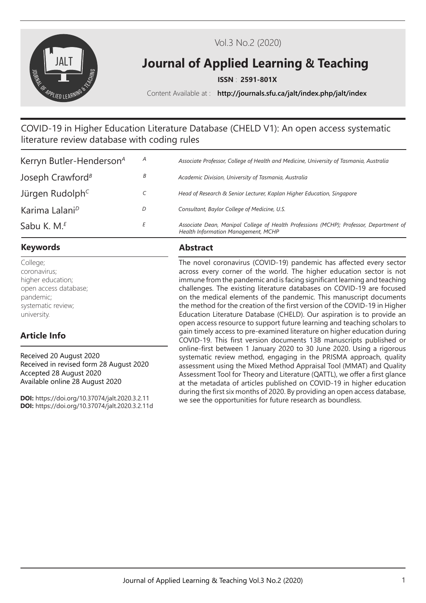

Vol.3 No.2 (2020)

# **Journal of Applied Learning & Teaching**

**ISSN** : **2591-801X**

Content Available at : **http://journals.sfu.ca/jalt/index.php/jalt/index**

# COVID-19 in Higher Education Literature Database (CHELD V1): An open access systematic literature review database with coding rules

| Kerryn Butler-Henderson <sup>4</sup>      | A | Associate Professor, College of Health and Medicine, University of Tasmania, Australia                                        |
|-------------------------------------------|---|-------------------------------------------------------------------------------------------------------------------------------|
| Joseph Crawford <sup><math>B</math></sup> | В | Academic Division, University of Tasmania, Australia                                                                          |
| Jürgen Rudolph <sup>c</sup>               |   | Head of Research & Senior Lecturer, Kaplan Higher Education, Singapore                                                        |
| Karima Lalani <sup>D</sup>                | D | Consultant, Baylor College of Medicine, U.S.                                                                                  |
| Sabu K. M. <sup>E</sup>                   |   | Associate Dean, Manipal College of Health Professions (MCHP); Professor, Department of<br>Health Information Management, MCHP |

### **Keywords Abstract**

College; coronavirus; higher education; open access database; pandemic; systematic review; university.

# **Article Info**

Received 20 August 2020 Received in revised form 28 August 2020 Accepted 28 August 2020 Available online 28 August 2020

**DOI:** https://doi.org/10.37074/jalt.2020.3.2.11 **DOI:** https://doi.org/10.37074/jalt.2020.3.2.11d

The novel coronavirus (COVID-19) pandemic has affected every sector across every corner of the world. The higher education sector is not immune from the pandemic and is facing significant learning and teaching challenges. The existing literature databases on COVID-19 are focused on the medical elements of the pandemic. This manuscript documents the method for the creation of the first version of the COVID-19 in Higher Education Literature Database (CHELD). Our aspiration is to provide an open access resource to support future learning and teaching scholars to gain timely access to pre-examined literature on higher education during COVID-19. This first version documents 138 manuscripts published or online-first between 1 January 2020 to 30 June 2020. Using a rigorous systematic review method, engaging in the PRISMA approach, quality assessment using the Mixed Method Appraisal Tool (MMAT) and Quality Assessment Tool for Theory and Literature (QATTL), we offer a first glance at the metadata of articles published on COVID-19 in higher education during the first six months of 2020. By providing an open access database, we see the opportunities for future research as boundless.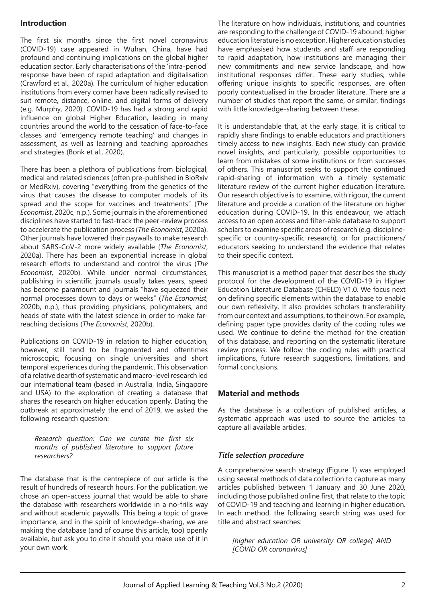#### **Introduction**

The first six months since the first novel coronavirus (COVID-19) case appeared in Wuhan, China, have had profound and continuing implications on the global higher education sector. Early characterisations of the 'intra-period' response have been of rapid adaptation and digitalisation (Crawford et al., 2020a). The curriculum of higher education institutions from every corner have been radically revised to suit remote, distance, online, and digital forms of delivery (e.g. Murphy, 2020). COVID-19 has had a strong and rapid influence on global Higher Education, leading in many countries around the world to the cessation of face-to-face classes and 'emergency remote teaching' and changes in assessment, as well as learning and teaching approaches and strategies (Bonk et al., 2020).

There has been a plethora of publications from biological, medical and related sciences (often pre-published in BioRxiv or MedRxiv), covering "everything from the genetics of the virus that causes the disease to computer models of its spread and the scope for vaccines and treatments" (*The Economist*, 2020c, n.p.). Some journals in the aforementioned disciplines have started to fast-track the peer-review process to accelerate the publication process (*The Economist*, 2020a). Other journals have lowered their paywalls to make research about SARS-CoV-2 more widely available (*The Economist*, 2020a). There has been an exponential increase in global research efforts to understand and control the virus (*The Economist*, 2020b). While under normal circumstances, publishing in scientific journals usually takes years, speed has become paramount and journals "have squeezed their normal processes down to days or weeks" (*The Economist*, 2020b, n.p.), thus providing physicians, policymakers, and heads of state with the latest science in order to make farreaching decisions (*The Economist*, 2020b).

Publications on COVID-19 in relation to higher education, however, still tend to be fragmented and oftentimes microscopic, focusing on single universities and short temporal experiences during the pandemic. This observation of a relative dearth of systematic and macro-level research led our international team (based in Australia, India, Singapore and USA) to the exploration of creating a database that shares the research on higher education openly. Dating the outbreak at approximately the end of 2019, we asked the following research question:

*Research question: Can we curate the first six months of published literature to support future researchers?*

The database that is the centrepiece of our article is the result of hundreds of research hours. For the publication, we chose an open-access journal that would be able to share the database with researchers worldwide in a no-frills way and without academic paywalls. This being a topic of grave importance, and in the spirit of knowledge-sharing, we are making the database (and of course this article, too) openly available, but ask you to cite it should you make use of it in your own work.

The literature on how individuals, institutions, and countries are responding to the challenge of COVID-19 abound; higher education literature is no exception. Higher education studies have emphasised how students and staff are responding to rapid adaptation, how institutions are managing their new commitments and new service landscape, and how institutional responses differ. These early studies, while offering unique insights to specific responses, are often poorly contextualised in the broader literature. There are a number of studies that report the same, or similar, findings with little knowledge-sharing between these.

It is understandable that, at the early stage, it is critical to rapidly share findings to enable educators and practitioners timely access to new insights. Each new study can provide novel insights, and particularly, possible opportunities to learn from mistakes of some institutions or from successes of others. This manuscript seeks to support the continued rapid-sharing of information with a timely systematic literature review of the current higher education literature. Our research objective is to examine, with rigour, the current literature and provide a curation of the literature on higher education during COVID-19. In this endeavour, we attach access to an open access and filter-able database to support scholars to examine specific areas of research (e.g. disciplinespecific or country-specific research), or for practitioners/ educators seeking to understand the evidence that relates to their specific context.

This manuscript is a method paper that describes the study protocol for the development of the COVID-19 in Higher Education Literature Database (CHELD) V1.0. We focus next on defining specific elements within the database to enable our own reflexivity. It also provides scholars transferability from our context and assumptions, to their own. For example, defining paper type provides clarity of the coding rules we used. We continue to define the method for the creation of this database, and reporting on the systematic literature review process. We follow the coding rules with practical implications, future research suggestions, limitations, and formal conclusions.

#### **Material and methods**

As the database is a collection of published articles, a systematic approach was used to source the articles to capture all available articles.

#### *Title selection procedure*

A comprehensive search strategy (Figure 1) was employed using several methods of data collection to capture as many articles published between 1 January and 30 June 2020, including those published online first, that relate to the topic of COVID-19 and teaching and learning in higher education. In each method, the following search string was used for title and abstract searches:

*[higher education OR university OR college] AND [COVID OR coronavirus]*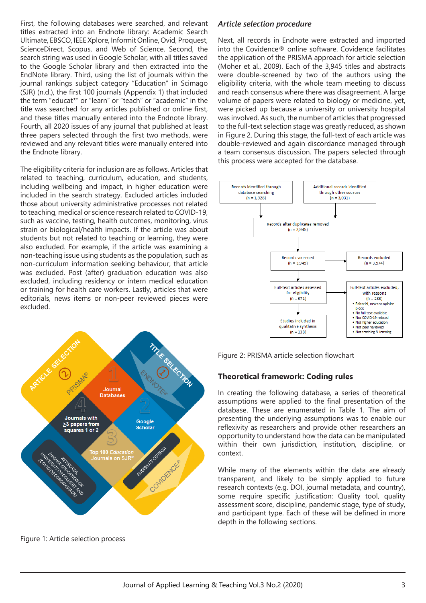First, the following databases were searched, and relevant titles extracted into an Endnote library: Academic Search Ultimate, EBSCO, IEEE Xplore, Informit Online, Ovid, Proquest, ScienceDirect, Scopus, and Web of Science. Second, the search string was used in Google Scholar, with all titles saved to the Google Scholar library and then extracted into the EndNote library. Third, using the list of journals within the journal rankings subject category "Education" in Scimago (SJR) (n.d.), the first 100 journals (Appendix 1) that included the term "educat\*" or "learn" or "teach" or "academic" in the title was searched for any articles published or online first, and these titles manually entered into the Endnote library. Fourth, all 2020 issues of any journal that published at least three papers selected through the first two methods, were reviewed and any relevant titles were manually entered into the Endnote library.

The eligibility criteria for inclusion are as follows. Articles that related to teaching, curriculum, education, and students, including wellbeing and impact, in higher education were included in the search strategy. Excluded articles included those about university administrative processes not related to teaching, medical or science research related to COVID-19, such as vaccine, testing, health outcomes, monitoring, virus strain or biological/health impacts. If the article was about students but not related to teaching or learning, they were also excluded. For example, if the article was examining a non-teaching issue using students as the population, such as non-curriculum information seeking behaviour, that article was excluded. Post (after) graduation education was also excluded, including residency or intern medical education or training for health care workers. Lastly, articles that were editorials, news items or non-peer reviewed pieces were excluded.



Figure 1: Article selection process

#### *Article selection procedure*

Next, all records in Endnote were extracted and imported into the Covidence® online software. Covidence facilitates the application of the PRISMA approach for article selection (Moher et al., 2009). Each of the 3,945 titles and abstracts were double-screened by two of the authors using the eligibility criteria, with the whole team meeting to discuss and reach consensus where there was disagreement. A large volume of papers were related to biology or medicine, yet, were picked up because a university or university hospital was involved. As such, the number of articles that progressed to the full-text selection stage was greatly reduced, as shown in Figure 2. During this stage, the full-text of each article was double-reviewed and again discordance managed through a team consensus discussion. The papers selected through this process were accepted for the database.



Figure 2: PRISMA article selection flowchart

#### **Theoretical framework: Coding rules**

In creating the following database, a series of theoretical assumptions were applied to the final presentation of the database. These are enumerated in Table 1. The aim of presenting the underlying assumptions was to enable our reflexivity as researchers and provide other researchers an opportunity to understand how the data can be manipulated within their own jurisdiction, institution, discipline, or context.

While many of the elements within the data are already transparent, and likely to be simply applied to future research contexts (e.g. DOI, journal metadata, and country), some require specific justification: Quality tool, quality assessment score, discipline, pandemic stage, type of study, and participant type. Each of these will be defined in more depth in the following sections.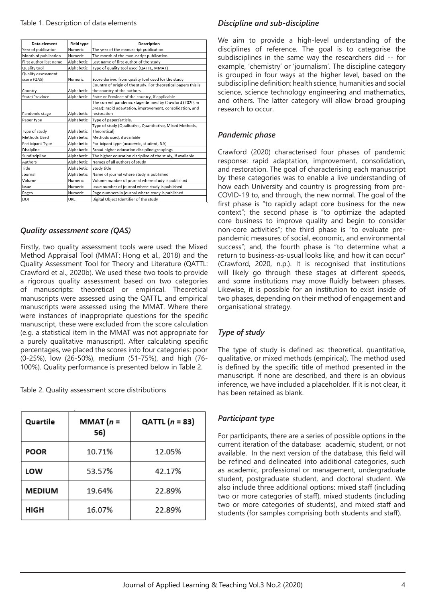| Data element           | <b>Field type</b> | Description                                                    |  |
|------------------------|-------------------|----------------------------------------------------------------|--|
| Year of publication    | Numeric           | The year of the manuscript publication                         |  |
| Month of publication   | Numeric           | The month of the manuscript publication                        |  |
| First author last name | Alphabetic        | Last name of first author of the study                         |  |
| Quality tool           | Alphabetic        | Type of quality tool used (QATTL, MMAT)                        |  |
| Quality assessment     |                   |                                                                |  |
| score (QAS)            | <b>Numeric</b>    | Score derived from quality tool used for the study             |  |
|                        |                   | Country of origin of the study. For theoretical papers this is |  |
| Country                | Alphabetic        | the country of the authors.                                    |  |
| State/Province         | Alphabetic        | State or Province of the country, if applicable                |  |
|                        |                   | The current pandemic stage defined by Crawford (2020, in       |  |
|                        |                   | press): rapid adaptation, improvement, consolidation, and      |  |
| Pandemic stage         | Alphabetic        | restoration                                                    |  |
| Paper type             | Alphabetic        | Type of paper/article.                                         |  |
|                        |                   | Type of study (Qualitative, Quantitative, Mixed Methods,       |  |
| Type of study          | Alphabetic        | Theoretical)                                                   |  |
| Methods Used           | Alphabetic        | Methods used, if available                                     |  |
| Participant Type       | Alphabetic        | Participant type (academic, student, NA)                       |  |
| Discipline             | Alphabetic        | Broad higher education discipline groupings                    |  |
| Subdiscipline          | Alphabetic        | The higher education discipline of the study, if available     |  |
| Authors                | Alphabetic        | Names of all authors of study                                  |  |
| Title                  | Alphabetic        | Study title                                                    |  |
| Journal                | Alphabetic        | Name of journal where study is published                       |  |
| Volume                 | Numeric           | Volume number of journal where study is published              |  |
| Issue                  | Numeric           | Issue number of journal where study is published               |  |
| Pages                  | Numeric           | Page numbers in journal where study is published               |  |
| DOI                    | URL               | Digital Object Identifier of the study                         |  |

#### *Quality assessment score (QAS)*

Firstly, two quality assessment tools were used: the Mixed Method Appraisal Tool (MMAT: Hong et al., 2018) and the Quality Assessment Tool for Theory and Literature (QATTL: Crawford et al., 2020b). We used these two tools to provide a rigorous quality assessment based on two categories of manuscripts: theoretical or empirical. Theoretical manuscripts were assessed using the QATTL, and empirical manuscripts were assessed using the MMAT. Where there were instances of inappropriate questions for the specific manuscript, these were excluded from the score calculation (e.g. a statistical item in the MMAT was not appropriate for a purely qualitative manuscript). After calculating specific percentages, we placed the scores into four categories: poor (0-25%), low (26-50%), medium (51-75%), and high (76- 100%). Quality performance is presented below in Table 2.

Table 2. Quality assessment score distributions

| Quartile      | MMAT $(n =$<br>56) | QATTL $(n = 83)$ |
|---------------|--------------------|------------------|
| <b>POOR</b>   | 10.71%             | 12.05%           |
| LOW           | 53.57%             | 42.17%           |
| <b>MEDIUM</b> | 19.64%             | 22.89%           |
| <b>HIGH</b>   | 16.07%             | 22.89%           |

# *Discipline and sub-discipline*

We aim to provide a high-level understanding of the disciplines of reference. The goal is to categorise the subdisciplines in the same way the researchers did -- for example, 'chemistry' or 'journalism'. The discipline category is grouped in four ways at the higher level, based on the subdiscipline definition: health science, humanities and social science, science technology engineering and mathematics, and others. The latter category will allow broad grouping research to occur.

#### *Pandemic phase*

Crawford (2020) characterised four phases of pandemic response: rapid adaptation, improvement, consolidation, and restoration. The goal of characterising each manuscript by these categories was to enable a live understanding of how each University and country is progressing from pre-COVID-19 to, and through, the new normal. The goal of the first phase is "to rapidly adapt core business for the new context"; the second phase is "to optimize the adapted core business to improve quality and begin to consider non-core activities"; the third phase is "to evaluate prepandemic measures of social, economic, and environmental success"; and, the fourth phase is "to determine what a return to business-as-usual looks like, and how it can occur" (Crawford, 2020, n.p.). It is recognised that institutions will likely go through these stages at different speeds, and some institutions may move fluidly between phases. Likewise, it is possible for an institution to exist inside of two phases, depending on their method of engagement and organisational strategy.

## *Type of study*

The type of study is defined as: theoretical, quantitative, qualitative, or mixed methods (empirical). The method used is defined by the specific title of method presented in the manuscript. If none are described, and there is an obvious inference, we have included a placeholder. If it is not clear, it has been retained as blank.

#### *Participant type*

For participants, there are a series of possible options in the current iteration of the database: academic, student, or not available. In the next version of the database, this field will be refined and delineated into additional categories, such as academic, professional or management, undergraduate student, postgraduate student, and doctoral student. We also include three additional options: mixed staff (including two or more categories of staff), mixed students (including two or more categories of students), and mixed staff and students (for samples comprising both students and staff).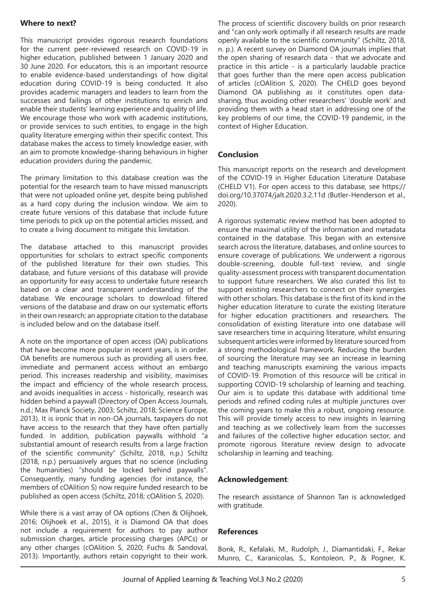#### **Where to next?**

This manuscript provides rigorous research foundations for the current peer-reviewed research on COVID-19 in higher education, published between 1 January 2020 and 30 June 2020. For educators, this is an important resource to enable evidence-based understandings of how digital education during COVID-19 is being conducted. It also provides academic managers and leaders to learn from the successes and failings of other institutions to enrich and enable their students' learning experience and quality of life. We encourage those who work with academic institutions, or provide services to such entities, to engage in the high quality literature emerging within their specific context. This database makes the access to timely knowledge easier, with an aim to promote knowledge-sharing behaviours in higher education providers during the pandemic.

The primary limitation to this database creation was the potential for the research team to have missed manuscripts that were not uploaded online yet, despite being published as a hard copy during the inclusion window. We aim to create future versions of this database that include future time periods to pick up on the potential articles missed, and to create a living document to mitigate this limitation.

The database attached to this manuscript provides opportunities for scholars to extract specific components of the published literature for their own studies. This database, and future versions of this database will provide an opportunity for easy access to undertake future research based on a clear and transparent understanding of the database. We encourage scholars to download filtered versions of the database and draw on our systematic efforts in their own research; an appropriate citation to the database is included below and on the database itself.

A note on the importance of open access (OA) publications that have become more popular in recent years, is in order. OA benefits are numerous such as providing all users free, immediate and permanent access without an embargo period. This increases readership and visibility, maximises the impact and efficiency of the whole research process, and avoids inequalities in access - historically, research was hidden behind a paywall (Directory of Open Access Journals, n.d.; Max Planck Society, 2003; Schiltz, 2018; Science Europe, 2013). It is ironic that in non-OA journals, taxpayers do not have access to the research that they have often partially funded. In addition, publication paywalls withhold "a substantial amount of research results from a large fraction of the scientific community" (Schiltz, 2018, n.p.) Schiltz (2018, n.p.) persuasively argues that no science (including the humanities) "should be locked behind paywalls". Consequently, many funding agencies (for instance, the members of cOAlition S) now require funded research to be published as open access (Schiltz, 2018; cOAlition S, 2020).

While there is a vast array of OA options (Chen & Olijhoek, 2016; Olijhoek et al., 2015), it is Diamond OA that does not include a requirement for authors to pay author submission charges, article processing charges (APCs) or any other charges (cOAlition S, 2020; Fuchs & Sandoval, 2013). Importantly, authors retain copyright to their work.

The process of scientific discovery builds on prior research and "can only work optimally if all research results are made openly available to the scientific community" (Schiltz, 2018, n. p.). A recent survey on Diamond OA journals implies that the open sharing of research data - that we advocate and practice in this article - is a particularly laudable practice that goes further than the mere open access publication of articles (cOAlition S, 2020). The CHELD goes beyond Diamond OA publishing as it constitutes open datasharing, thus avoiding other researchers' 'double work' and providing them with a head start in addressing one of the key problems of our time, the COVID-19 pandemic, in the context of Higher Education.

#### **Conclusion**

This manuscript reports on the research and development of the COVID-19 in Higher Education Literature Database (CHELD V1). For open access to this database, see https:// doi.org/10.37074/jalt.2020.3.2.11d (Butler-Henderson et al., 2020).

A rigorous systematic review method has been adopted to ensure the maximal utility of the information and metadata contained in the database. This began with an extensive search across the literature, databases, and online sources to ensure coverage of publications. We underwent a rigorous double-screening, double full-text review, and single quality-assessment process with transparent documentation to support future researchers. We also curated this list to support existing researchers to connect on their synergies with other scholars. This database is the first of its kind in the higher education literature to curate the existing literature for higher education practitioners and researchers. The consolidation of existing literature into one database will save researchers time in acquiring literature, whilst ensuring subsequent articles were informed by literature sourced from a strong methodological framework. Reducing the burden of sourcing the literature may see an increase in learning and teaching manuscripts examining the various impacts of COVID-19. Promotion of this resource will be critical in supporting COVID-19 scholarship of learning and teaching. Our aim is to update this database with additional time periods and refined coding rules at multiple junctures over the coming years to make this a robust, ongoing resource. This will provide timely access to new insights in learning and teaching as we collectively learn from the successes and failures of the collective higher education sector, and promote rigorous literature review design to advocate scholarship in learning and teaching.

#### **Acknowledgement**:

The research assistance of Shannon Tan is acknowledged with gratitude.

#### **References**

Bonk, R., Kefalaki, M., Rudolph, J., Diamantidaki, F., Rekar Munro, C., Karanicolas, S., Kontoleon, P., & Pogner, K.